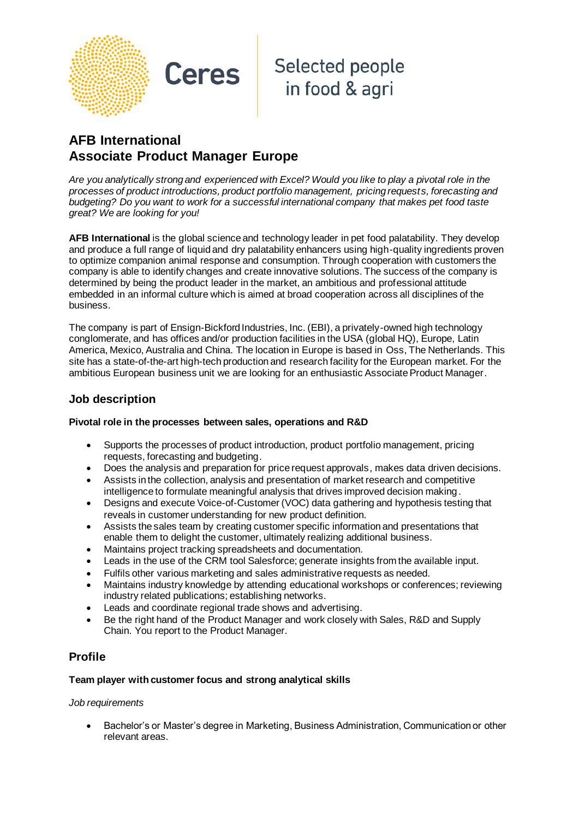

## **Selected people** in food & agri

## **AFB International Associate Product Manager Europe**

**Ceres** 

*Are you analytically strong and experienced with Excel? Would you like to play a pivotal role in the processes of product introductions, product portfolio management, pricing requests, forecasting and budgeting? Do you want to work for a successful international company that makes pet food taste great? We are looking for you!*

**AFB International** is the global science and technology leader in pet food palatability. They develop and produce a full range of liquid and dry palatability enhancers using high-quality ingredients proven to optimize companion animal response and consumption. Through cooperation with customers the company is able to identify changes and create innovative solutions. The success of the company is determined by being the product leader in the market, an ambitious and professional attitude embedded in an informal culture which is aimed at broad cooperation across all disciplines of the business.

The company is part of Ensign-Bickford Industries, Inc. (EBI), a privately-owned high technology conglomerate, and has offices and/or production facilities in the USA (global HQ), Europe, Latin America, Mexico, Australia and China. The location in Europe is based in Oss, The Netherlands. This site has a state-of-the-art high-tech production and research facility for the European market. For the ambitious European business unit we are looking for an enthusiastic Associate Product Manager.

## **Job description**

#### **Pivotal role in the processes between sales, operations and R&D**

- Supports the processes of product introduction, product portfolio management, pricing requests, forecasting and budgeting.
- Does the analysis and preparation for price request approvals, makes data driven decisions.
- Assists in the collection, analysis and presentation of market research and competitive intelligence to formulate meaningful analysis that drives improved decision making.
- Designs and execute Voice-of-Customer (VOC) data gathering and hypothesis testing that reveals in customer understanding for new product definition.
- Assists the sales team by creating customer specific information and presentations that enable them to delight the customer, ultimately realizing additional business.
- Maintains project tracking spreadsheets and documentation.
- Leads in the use of the CRM tool Salesforce; generate insights from the available input.
- Fulfils other various marketing and sales administrative requests as needed.
- Maintains industry knowledge by attending educational workshops or conferences; reviewing industry related publications; establishing networks.
- Leads and coordinate regional trade shows and advertising.
- Be the right hand of the Product Manager and work closely with Sales, R&D and Supply Chain. You report to the Product Manager.

## **Profile**

#### **Team player with customer focus and strong analytical skills**

#### *Job requirements*

• Bachelor's or Master's degree in Marketing, Business Administration, Communication or other relevant areas.